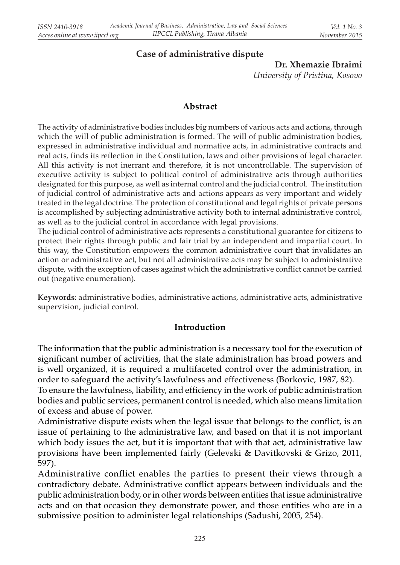# Case of administrative dispute

Dr. Xhemazie Ibraimi University of Pristina, Kosovo

#### Abstract

The activity of administrative bodies includes big numbers of various acts and actions, through which the will of public administration is formed. The will of public administration bodies, expressed in administrative individual and normative acts, in administrative contracts and real acts, finds its reflection in the Constitution, laws and other provisions of legal character. All this activity is not inerrant and therefore, it is not uncontrollable. The supervision of executive activity is subject to political control of administrative acts through authorities designated for this purpose, as well as internal control and the judicial control. The institution of judicial control of administrative acts and actions appears as very important and widely treated in the legal doctrine. The protection of constitutional and legal rights of private persons is accomplished by subjecting administrative activity both to internal administrative control, as well as to the judicial control in accordance with legal provisions.

The judicial control of administrative acts represents a constitutional guarantee for citizens to protect their rights through public and fair trial by an independent and impartial court. In this way, the Constitution empowers the common administrative court that invalidates an action or administrative act, but not all administrative acts may be subject to administrative dispute, with the exception of cases against which the administrative conflict cannot be carried out (negative enumeration).

Keywords: administrative bodies, administrative actions, administrative acts, administrative supervision, judicial control.

#### Introduction

The information that the public administration is a necessary tool for the execution of significant number of activities, that the state administration has broad powers and is well organized, it is required a multifaceted control over the administration, in order to safeguard the activity's lawfulness and effectiveness (Borkovic, 1987, 82).

To ensure the lawfulness, liability, and efficiency in the work of public administration bodies and public services, permanent control is needed, which also means limitation of excess and abuse of power.

Administrative dispute exists when the legal issue that belongs to the conflict, is an issue of pertaining to the administrative law, and based on that it is not important which body issues the act, but it is important that with that act, administrative law provisions have been implemented fairly (Gelevski & Davitkovski & Grizo, 2011, 597).

Administrative conflict enables the parties to present their views through a contradictory debate. Administrative conflict appears between individuals and the public administration body, or in other words between entities that issue administrative acts and on that occasion they demonstrate power, and those entities who are in a submissive position to administer legal relationships (Sadushi, 2005, 254).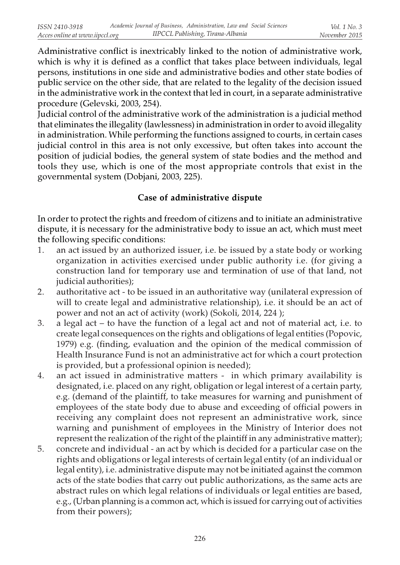Administrative conflict is inextricably linked to the notion of administrative work, which is why it is defined as a conflict that takes place between individuals, legal persons, institutions in one side and administrative bodies and other state bodies of public service on the other side, that are related to the legality of the decision issued in the administrative work in the context that led in court, in a separate administrative procedure (Gelevski, 2003, 254).

Judicial control of the administrative work of the administration is a judicial method that eliminates the illegality (lawlessness) in administration in order to avoid illegality in administration. While performing the functions assigned to courts, in certain cases judicial control in this area is not only excessive, but often takes into account the position of judicial bodies, the general system of state bodies and the method and tools they use, which is one of the most appropriate controls that exist in the governmental system (Dobjani, 2003, 225).

## Case of administrative dispute

In order to protect the rights and freedom of citizens and to initiate an administrative dispute, it is necessary for the administrative body to issue an act, which must meet the following specific conditions:

- 1. an act issued by an authorized issuer, i.e. be issued by a state body or working organization in activities exercised under public authority i.e. (for giving a construction land for temporary use and termination of use of that land, not judicial authorities);
- 2. authoritative act to be issued in an authoritative way (unilateral expression of will to create legal and administrative relationship), i.e. it should be an act of power and not an act of activity (work) (Sokoli, 2014, 224 );
- 3. a legal act to have the function of a legal act and not of material act, i.e. to create legal consequences on the rights and obligations of legal entities (Popovic, 1979) e.g. (finding, evaluation and the opinion of the medical commission of Health Insurance Fund is not an administrative act for which a court protection is provided, but a professional opinion is needed);
- 4. an act issued in administrative matters in which primary availability is designated, i.e. placed on any right, obligation or legal interest of a certain party, e.g. (demand of the plaintiff, to take measures for warning and punishment of employees of the state body due to abuse and exceeding of official powers in receiving any complaint does not represent an administrative work, since warning and punishment of employees in the Ministry of Interior does not represent the realization of the right of the plaintiff in any administrative matter);
- 5. concrete and individual an act by which is decided for a particular case on the rights and obligations or legal interests of certain legal entity (of an individual or legal entity), i.e. administrative dispute may not be initiated against the common acts of the state bodies that carry out public authorizations, as the same acts are abstract rules on which legal relations of individuals or legal entities are based, e.g., (Urban planning is a common act, which is issued for carrying out of activities from their powers);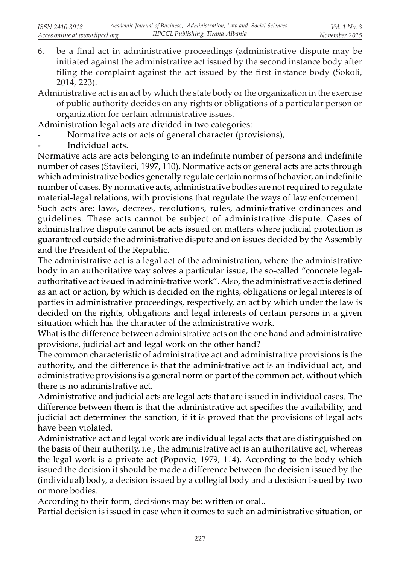- 6. be a final act in administrative proceedings (administrative dispute may be initiated against the administrative act issued by the second instance body after filing the complaint against the act issued by the first instance body (Sokoli, 2014, 223).
- Administrative act is an act by which the state body or the organization in the exercise of public authority decides on any rights or obligations of a particular person or organization for certain administrative issues.

Administration legal acts are divided in two categories:

- Normative acts or acts of general character (provisions),
- Individual acts.

Normative acts are acts belonging to an indefinite number of persons and indefinite number of cases (Stavileci, 1997, 110). Normative acts or general acts are acts through which administrative bodies generally regulate certain norms of behavior, an indefinite number of cases. By normative acts, administrative bodies are not required to regulate material-legal relations, with provisions that regulate the ways of law enforcement. Such acts are: laws, decrees, resolutions, rules, administrative ordinances and guidelines. These acts cannot be subject of administrative dispute. Cases of administrative dispute cannot be acts issued on matters where judicial protection is guaranteed outside the administrative dispute and on issues decided by the Assembly and the President of the Republic.

The administrative act is a legal act of the administration, where the administrative body in an authoritative way solves a particular issue, the so-called "concrete legalauthoritative act issued in administrative work". Also, the administrative act is defined as an act or action, by which is decided on the rights, obligations or legal interests of parties in administrative proceedings, respectively, an act by which under the law is decided on the rights, obligations and legal interests of certain persons in a given situation which has the character of the administrative work.

What is the difference between administrative acts on the one hand and administrative provisions, judicial act and legal work on the other hand?

The common characteristic of administrative act and administrative provisions is the authority, and the difference is that the administrative act is an individual act, and administrative provisions is a general norm or part of the common act, without which there is no administrative act.

Administrative and judicial acts are legal acts that are issued in individual cases. The difference between them is that the administrative act specifies the availability, and judicial act determines the sanction, if it is proved that the provisions of legal acts have been violated.

Administrative act and legal work are individual legal acts that are distinguished on the basis of their authority, i.e., the administrative act is an authoritative act, whereas the legal work is a private act (Popovic, 1979, 114). According to the body which issued the decision it should be made a difference between the decision issued by the (individual) body, a decision issued by a collegial body and a decision issued by two or more bodies.

According to their form, decisions may be: written or oral..

Partial decision is issued in case when it comes to such an administrative situation, or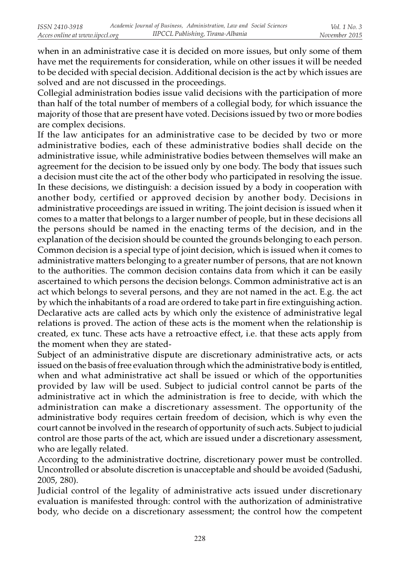when in an administrative case it is decided on more issues, but only some of them have met the requirements for consideration, while on other issues it will be needed to be decided with special decision. Additional decision is the act by which issues are solved and are not discussed in the proceedings.

Collegial administration bodies issue valid decisions with the participation of more than half of the total number of members of a collegial body, for which issuance the majority of those that are present have voted. Decisions issued by two or more bodies are complex decisions.

If the law anticipates for an administrative case to be decided by two or more administrative bodies, each of these administrative bodies shall decide on the administrative issue, while administrative bodies between themselves will make an agreement for the decision to be issued only by one body. The body that issues such a decision must cite the act of the other body who participated in resolving the issue. In these decisions, we distinguish: a decision issued by a body in cooperation with another body, certified or approved decision by another body. Decisions in administrative proceedings are issued in writing. The joint decision is issued when it comes to a matter that belongs to a larger number of people, but in these decisions all the persons should be named in the enacting terms of the decision, and in the explanation of the decision should be counted the grounds belonging to each person. Common decision is a special type of joint decision, which is issued when it comes to administrative matters belonging to a greater number of persons, that are not known to the authorities. The common decision contains data from which it can be easily ascertained to which persons the decision belongs. Common administrative act is an act which belongs to several persons, and they are not named in the act. E.g. the act by which the inhabitants of a road are ordered to take part in fire extinguishing action. Declarative acts are called acts by which only the existence of administrative legal relations is proved. The action of these acts is the moment when the relationship is created, ex tunc. These acts have a retroactive effect, i.e. that these acts apply from the moment when they are stated-

Subject of an administrative dispute are discretionary administrative acts, or acts issued on the basis of free evaluation through which the administrative body is entitled, when and what administrative act shall be issued or which of the opportunities provided by law will be used. Subject to judicial control cannot be parts of the administrative act in which the administration is free to decide, with which the administration can make a discretionary assessment. The opportunity of the administrative body requires certain freedom of decision, which is why even the court cannot be involved in the research of opportunity of such acts. Subject to judicial control are those parts of the act, which are issued under a discretionary assessment, who are legally related.

According to the administrative doctrine, discretionary power must be controlled. Uncontrolled or absolute discretion is unacceptable and should be avoided (Sadushi, 2005, 280).

Judicial control of the legality of administrative acts issued under discretionary evaluation is manifested through: control with the authorization of administrative body, who decide on a discretionary assessment; the control how the competent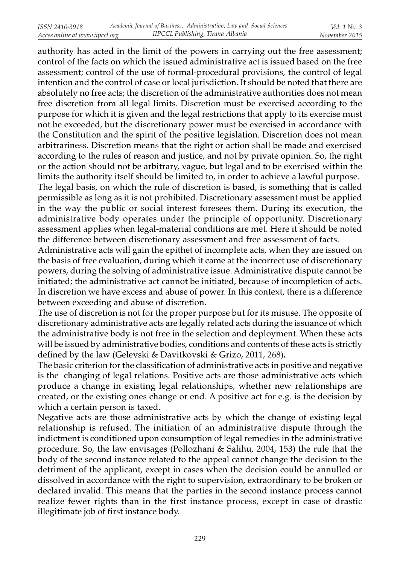authority has acted in the limit of the powers in carrying out the free assessment; control of the facts on which the issued administrative act is issued based on the free assessment; control of the use of formal-procedural provisions, the control of legal intention and the control of case or local jurisdiction. It should be noted that there are absolutely no free acts; the discretion of the administrative authorities does not mean free discretion from all legal limits. Discretion must be exercised according to the purpose for which it is given and the legal restrictions that apply to its exercise must not be exceeded, but the discretionary power must be exercised in accordance with the Constitution and the spirit of the positive legislation. Discretion does not mean arbitrariness. Discretion means that the right or action shall be made and exercised according to the rules of reason and justice, and not by private opinion. So, the right or the action should not be arbitrary, vague, but legal and to be exercised within the limits the authority itself should be limited to, in order to achieve a lawful purpose.

The legal basis, on which the rule of discretion is based, is something that is called permissible as long as it is not prohibited. Discretionary assessment must be applied in the way the public or social interest foresees them. During its execution, the administrative body operates under the principle of opportunity. Discretionary assessment applies when legal-material conditions are met. Here it should be noted the difference between discretionary assessment and free assessment of facts.

Administrative acts will gain the epithet of incomplete acts, when they are issued on the basis of free evaluation, during which it came at the incorrect use of discretionary powers, during the solving of administrative issue. Administrative dispute cannot be initiated; the administrative act cannot be initiated, because of incompletion of acts. In discretion we have excess and abuse of power. In this context, there is a difference between exceeding and abuse of discretion.

The use of discretion is not for the proper purpose but for its misuse. The opposite of discretionary administrative acts are legally related acts during the issuance of which the administrative body is not free in the selection and deployment. When these acts will be issued by administrative bodies, conditions and contents of these acts is strictly defined by the law (Gelevski & Davitkovski & Grizo, 2011, 268).

The basic criterion for the classification of administrative acts in positive and negative is the changing of legal relations. Positive acts are those administrative acts which produce a change in existing legal relationships, whether new relationships are created, or the existing ones change or end. A positive act for e.g. is the decision by which a certain person is taxed.

Negative acts are those administrative acts by which the change of existing legal relationship is refused. The initiation of an administrative dispute through the indictment is conditioned upon consumption of legal remedies in the administrative procedure. So, the law envisages (Pollozhani & Salihu, 2004, 153) the rule that the body of the second instance related to the appeal cannot change the decision to the detriment of the applicant, except in cases when the decision could be annulled or dissolved in accordance with the right to supervision, extraordinary to be broken or declared invalid. This means that the parties in the second instance process cannot realize fewer rights than in the first instance process, except in case of drastic illegitimate job of first instance body.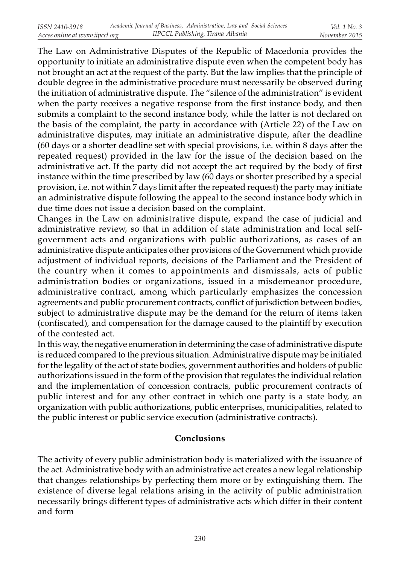The Law on Administrative Disputes of the Republic of Macedonia provides the opportunity to initiate an administrative dispute even when the competent body has not brought an act at the request of the party. But the law implies that the principle of double degree in the administrative procedure must necessarily be observed during the initiation of administrative dispute. The "silence of the administration" is evident when the party receives a negative response from the first instance body, and then submits a complaint to the second instance body, while the latter is not declared on the basis of the complaint, the party in accordance with (Article 22) of the Law on administrative disputes, may initiate an administrative dispute, after the deadline (60 days or a shorter deadline set with special provisions, i.e. within 8 days after the repeated request) provided in the law for the issue of the decision based on the administrative act. If the party did not accept the act required by the body of first instance within the time prescribed by law (60 days or shorter prescribed by a special provision, i.e. not within 7 days limit after the repeated request) the party may initiate an administrative dispute following the appeal to the second instance body which in due time does not issue a decision based on the complaint.

Changes in the Law on administrative dispute, expand the case of judicial and administrative review, so that in addition of state administration and local selfgovernment acts and organizations with public authorizations, as cases of an administrative dispute anticipates other provisions of the Government which provide adjustment of individual reports, decisions of the Parliament and the President of the country when it comes to appointments and dismissals, acts of public administration bodies or organizations, issued in a misdemeanor procedure, administrative contract, among which particularly emphasizes the concession agreements and public procurement contracts, conflict of jurisdiction between bodies, subject to administrative dispute may be the demand for the return of items taken (confiscated), and compensation for the damage caused to the plaintiff by execution of the contested act.

In this way, the negative enumeration in determining the case of administrative dispute is reduced compared to the previous situation. Administrative dispute may be initiated for the legality of the act of state bodies, government authorities and holders of public authorizations issued in the form of the provision that regulates the individual relation and the implementation of concession contracts, public procurement contracts of public interest and for any other contract in which one party is a state body, an organization with public authorizations, public enterprises, municipalities, related to the public interest or public service execution (administrative contracts).

## Conclusions

The activity of every public administration body is materialized with the issuance of the act. Administrative body with an administrative act creates a new legal relationship that changes relationships by perfecting them more or by extinguishing them. The existence of diverse legal relations arising in the activity of public administration necessarily brings different types of administrative acts which differ in their content and form